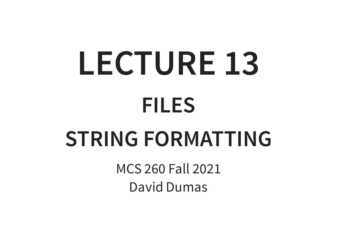# **LECTURE 13 FILES**

#### **STRING FORMATTING**

MCS 260 Fall 2021 David Dumas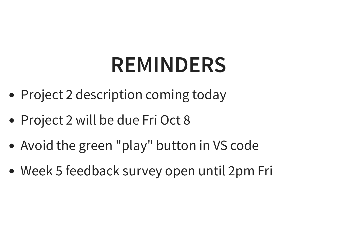#### **REMINDERS**

- Project 2 description coming today
- Project 2 will be due Fri Oct 8
- Avoid the green "play" button in VS code
- Week 5 feedback survey open until 2pm Fri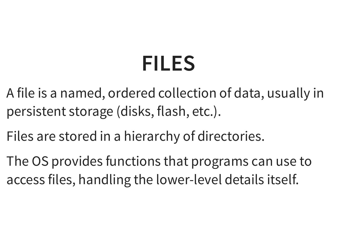## **FILES**

- A file is a named, ordered collection of data, usually in persistent storage (disks, flash, etc.).
- Files are stored in a hierarchy of directories.
- The OS provides functions that programs can use to access files, handling the lower-level details itself.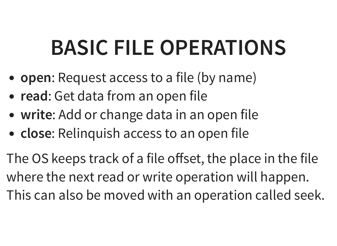# **BASIC FILE OPERATIONS**

- **open**: Request access to a file (by name)
- **read**: Get data from an open file
- **write**: Add or change data in an open file
- **close**: Relinquish access to an open file

The OS keeps track of a file offset, the place in the file where the next read or write operation will happen. This can also be moved with an operation called seek.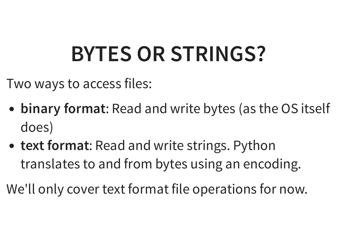# **BYTES OR STRINGS?**

Two ways to access files:

- **binary format**: Read and write bytes (as the OS itself does)
- **text format**: Read and write strings. Python translates to and from bytes using an encoding.

We'll only cover text format file operations for now.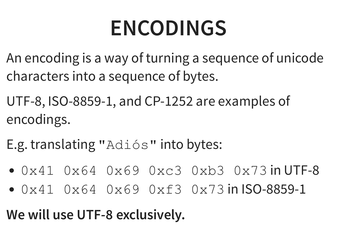## **ENCODINGS**

- An encoding is a way of turning a sequence of unicode characters into a sequence of bytes.
- UTF-8, ISO-8859-1, and CP-1252 are examples of encodings.
- E.g. translating "Adiós" into bytes:
- $0x41$   $0x64$   $0x69$   $0xc3$   $0xb3$   $0x73$  in UTF-8
- 0x41 0x64 0x69 0xf3 0x73 in ISO-8859-1

#### **We will use UTF-8 exclusively.**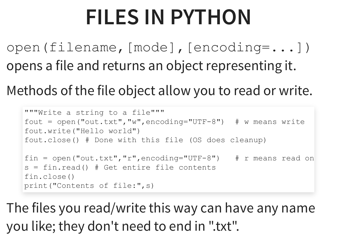## **FILES IN PYTHON**

open(filename,[mode],[encoding=...]) opens a file and returns an object representing it.

Methods of the file object allow you to read or write.

```
"""Write a string to a file"""
fout = open("out.txt"
,
"w"
,encoding="UTF-8") # w means write
fout.write("Hello world")
fout.close() # Done with this file (OS does cleanup)
fin = open("out.txt"
,
"r"
,encoding="UTF-8") # r means read on
s = fin.read() # Get entire file contents
fin.close()
print("Contents of file:"
,s)
```
The files you read/write this way can have any name you like; they don't need to end in ".txt".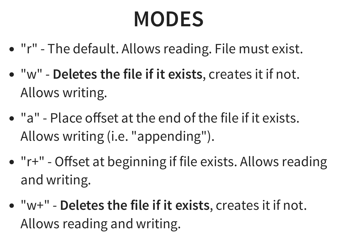## **MODES**

- "r" The default. Allows reading. File must exist.
- "w" **Deletes the file if it exists**, creates it if not. Allows writing.
- "a" Place offset at the end of the file if it exists. Allows writing (i.e. "appending").
- "r+" Offset at beginning if file exists. Allows reading and writing.
- "w+" **Deletes the file if it exists**, creates it if not. Allows reading and writing.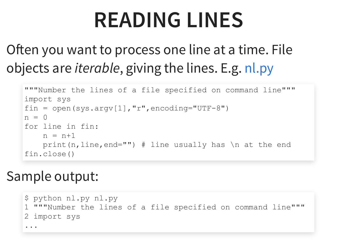#### **READING LINES**

#### Often you want to process one line at a time. File objects are *iterable*, giving the lines. E.g. [nl.py](https://dumas.io/teaching/2020/fall/mcs260/samplecode/nl.py)

```
"""Number the lines of a file specified on command line"""
import sys
fin = open(sys.argv[1], "r", encoding="UTF-8")n = 0for line in fin:
   n = n+1print(n, line, end="") # line usually has \ln at the end
fin.close()
```
#### Sample output:

```
$ python nl.py nl.py
1 """Number the lines of a file specified on command line"""
2 import sys
...
```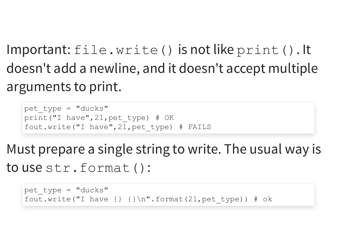Important: file.write() is not like print(). It doesn't add a newline, and it doesn't accept multiple arguments to print.

pet type =  $"ducks"$ print("I have" ,21,pet\_type) # OK fout.write("I have" ,21,pet\_type) # FAILS

Must prepare a single string to write. The usual way is to use str.format():

pet type =  $"ducks"$ fout.write("I have  $\{\}\n\in$  ''.format(21, pet type)) # ok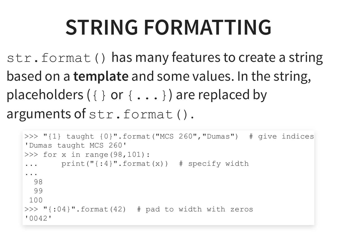## **STRING FORMATTING**

str.format() has many features to create a string based on a **template** and some values. In the string, placeholders  $({})$  or  ${...}$  ) are replaced by arguments of str.format().

```
>>> "{1} taught {0}".format("MCS 260"
,
"Dumas") # give indices
'Dumas taught MCS 260'
\gg for x in range(98,101):
... print("{:4}".format(x)) # specify width
...
 98
 99
100
>>> "{:04}".format(42) # pad to width with zeros
'0042'
```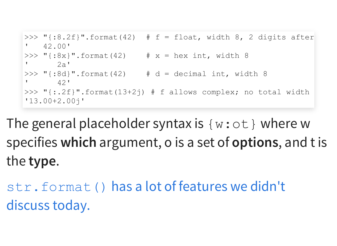```
>>> "{':8.2f}"'.format(42) # f = float, width 8, 2 digits after\frac{42.00}{ }>>> "{:8x}".format(42) # x = hex int, width 8
2a'>>> "{:8d}".format(42) * # d = decimal int, width 8
42'>>> "{:.2f}".format(13+2j) # f allows complex; no total width
'13.00+2.00j'
```
The general placeholder syntax is  $\{w: \text{ot}\}\)$  where w specifies **which** argument, o is a set of **options**, and t is the **type**.

[str.format\(\)](https://docs.python.org/3/library/string.html#formatspec) has a lot of features we didn't discuss today.